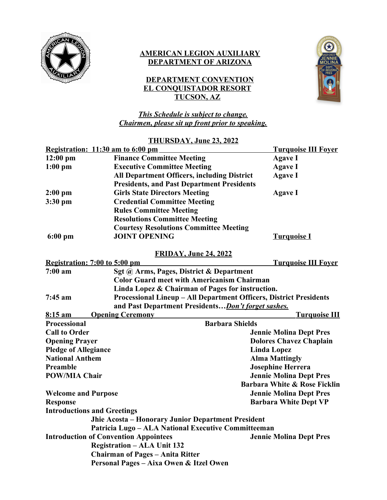

### **AMERICAN LEGION AUXILIARY DEPARTMENT OF ARIZONA**

## **DEPARTMENT CONVENTION EL CONQUISTADOR RESORT TUCSON, AZ**



*This Schedule is subject to change. Chairmen, please sit up front prior to speaking.*

#### **THURSDAY, June 23, 2022**

|                      | Registration: 11:30 am to 6:00 pm                                  | <b>Turquoise III Fover</b>     |  |
|----------------------|--------------------------------------------------------------------|--------------------------------|--|
| $12:00$ pm           | <b>Finance Committee Meeting</b>                                   | <b>Agave I</b>                 |  |
| $1:00$ pm            | <b>Executive Committee Meeting</b>                                 | <b>Agave I</b>                 |  |
|                      | <b>All Department Officers, including District</b>                 | <b>Agave I</b>                 |  |
|                      | <b>Presidents, and Past Department Presidents</b>                  |                                |  |
| $2:00$ pm            | <b>Girls State Directors Meeting</b>                               | <b>Agave I</b>                 |  |
| $3:30$ pm            | <b>Credential Committee Meeting</b>                                |                                |  |
|                      | <b>Rules Committee Meeting</b>                                     |                                |  |
|                      | <b>Resolutions Committee Meeting</b>                               |                                |  |
|                      | <b>Courtesy Resolutions Committee Meeting</b>                      |                                |  |
| $6:00$ pm            | <b>JOINT OPENING</b>                                               | <b>Turquoise I</b>             |  |
|                      | <b>FRIDAY, June 24, 2022</b>                                       |                                |  |
|                      | Registration: 7:00 to 5:00 pm                                      | <b>Turquoise III Foyer</b>     |  |
| $7:00 a$ m           | Sgt @ Arms, Pages, District & Department                           |                                |  |
|                      | <b>Color Guard meet with Americanism Chairman</b>                  |                                |  |
|                      | Linda Lopez & Chairman of Pages for instruction.                   |                                |  |
| $7:45$ am            | Processional Lineup - All Department Officers, District Presidents |                                |  |
|                      | and Past Department Presidents Don't forget sashes.                |                                |  |
| $8:15 \text{ am}$    | <b>Opening Ceremony</b>                                            | <u>Turquoise III</u>           |  |
| Processional         | <b>Barbara Shields</b>                                             |                                |  |
| <b>Call to Order</b> |                                                                    | <b>Jennie Molina Dept Pres</b> |  |

**Opening Prayer Dolores Chavez Chaplain Pledge of Allegiance** Linda Lopez **National Anthem Alma Mattingly Preamble** Josephine Herrera **POW/MIA Chair Jennie Molina Dept Pres Barbara White & Rose Ficklin Welcome and Purpose Jennie Molina Dept Pres Response Barbara White Dept VP Introductions and Greetings Jhie Acosta – Honorary Junior Department President Patricia Lugo – ALA National Executive Committeeman Introduction of Convention Appointees Jennie Molina Dept Pres Registration – ALA Unit 132 Chairman of Pages – Anita Ritter Personal Pages – Aixa Owen & Itzel Owen**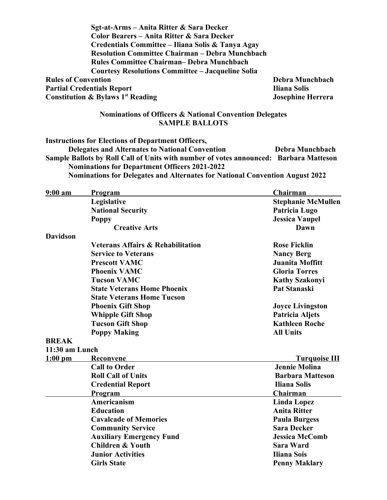| Sgt-at-Arms – Anita Ritter & Sara Decker                 |                          |
|----------------------------------------------------------|--------------------------|
| Color Bearers - Anita Ritter & Sara Decker               |                          |
| Credentials Committee - Iliana Solis & Tanya Agay        |                          |
| <b>Resolution Committee Chairman – Debra Munchbach</b>   |                          |
| <b>Rules Committee Chairman– Debra Munchbach</b>         |                          |
| <b>Courtesy Resolutions Committee – Jacqueline Solia</b> |                          |
| <b>Rules of Convention</b>                               | Debra Munchbach          |
| <b>Partial Credentials Report</b>                        | <b>Iliana Solis</b>      |
| <b>Constitution &amp; Bylaws 1st Reading</b>             | <b>Josephine Herrera</b> |

#### **Nominations of Officers & National Convention Delegates SAMPLE BALLOTS**

**Instructions for Elections of Department Officers, Delegates and Alternates to National Convention Debra Munchbach Sample Ballots by Roll Call of Units with number of votes announced: Barbara Matteson Nominations for Department Officers 2021-2022 Nominations for Delegates and Alternates for National Convention August 2022**

| 9:00 am         | <u>Program</u>                               | Chairman                  |
|-----------------|----------------------------------------------|---------------------------|
|                 | Legislative                                  | <b>Stephanie McMullen</b> |
|                 | <b>National Security</b>                     | Patricia Lugo             |
|                 | <b>Poppy</b>                                 | <b>Jessica Vaupel</b>     |
|                 | <b>Creative Arts</b>                         | Dawn                      |
| <b>Davidson</b> |                                              |                           |
|                 | <b>Veterans Affairs &amp; Rehabilitation</b> | <b>Rose Ficklin</b>       |
|                 | <b>Service to Veterans</b>                   | <b>Nancy Berg</b>         |
|                 | <b>Prescott VAMC</b>                         | Juanita Moffitt           |
|                 | <b>Phoenix VAMC</b>                          | <b>Gloria Torres</b>      |
|                 | <b>Tucson VAMC</b>                           | <b>Kathy Szakonyi</b>     |
|                 | <b>State Veterans Home Phoenix</b>           | Pat Stanaski              |
|                 | <b>State Veterans Home Tucson</b>            |                           |
|                 | <b>Phoenix Gift Shop</b>                     | <b>Joyce Livingston</b>   |
|                 | <b>Whipple Gift Shop</b>                     | <b>Patricia Aljets</b>    |
|                 | <b>Tucson Gift Shop</b>                      | <b>Kathleen Roche</b>     |
|                 | <b>Poppy Making</b>                          | <b>All Units</b>          |
| <b>BREAK</b>    |                                              |                           |
| 11:30 am Lunch  |                                              |                           |
| <u>1:00 pm</u>  | <b>Reconvene</b>                             | <u>Turquoise III</u>      |
|                 | <b>Call to Order</b>                         | <b>Jennie Molina</b>      |
|                 | <b>Roll Call of Units</b>                    | <b>Barbara Matteson</b>   |
|                 | <b>Credential Report</b>                     | <b>Iliana Solis</b>       |
|                 | Program                                      | Chairman                  |
|                 | <b>Americanism</b>                           | <b>Linda Lopez</b>        |
|                 | <b>Education</b>                             | <b>Anita Ritter</b>       |
|                 | <b>Cavalcade of Memories</b>                 | <b>Paula Burgess</b>      |
|                 | <b>Community Service</b>                     | <b>Sara Decker</b>        |
|                 | <b>Auxiliary Emergency Fund</b>              | <b>Jessica McComb</b>     |
|                 | <b>Children &amp; Youth</b>                  | <b>Sara Ward</b>          |
|                 | <b>Junior Activities</b>                     | <b>Iliana Sois</b>        |
|                 | <b>Girls State</b>                           | <b>Penny Maklary</b>      |
|                 |                                              |                           |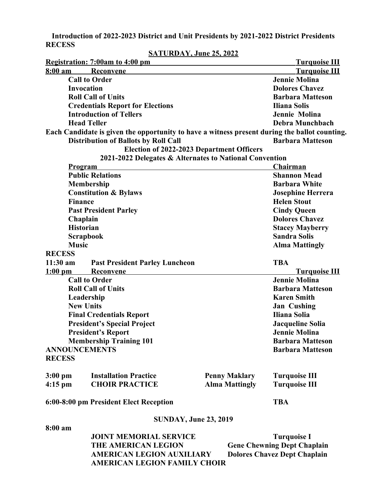**Introduction of 2022-2023 District and Unit Presidents by 2021-2022 District Presidents RECESS**

|                      | Registration: 7:00am to 4:00 pm                                                               |  |                       | <b>Turquoise III</b>                |
|----------------------|-----------------------------------------------------------------------------------------------|--|-----------------------|-------------------------------------|
| $8:00 \text{ am}$    | Reconvene                                                                                     |  |                       | <b>Turquoise III</b>                |
|                      | <b>Call to Order</b>                                                                          |  |                       | <b>Jennie Molina</b>                |
| <b>Invocation</b>    |                                                                                               |  | <b>Dolores Chavez</b> |                                     |
|                      | <b>Roll Call of Units</b>                                                                     |  |                       | <b>Barbara Matteson</b>             |
|                      | <b>Credentials Report for Elections</b>                                                       |  |                       | <b>Iliana Solis</b>                 |
|                      | <b>Introduction of Tellers</b>                                                                |  |                       | Jennie Molina                       |
|                      | <b>Head Teller</b>                                                                            |  |                       | Debra Munchbach                     |
|                      | Each Candidate is given the opportunity to have a witness present during the ballot counting. |  |                       |                                     |
|                      | <b>Distribution of Ballots by Roll Call</b>                                                   |  |                       | <b>Barbara Matteson</b>             |
|                      | Election of 2022-2023 Department Officers                                                     |  |                       |                                     |
|                      | 2021-2022 Delegates & Alternates to National Convention                                       |  |                       |                                     |
|                      | <u>Program</u>                                                                                |  |                       | Chairman                            |
|                      | <b>Public Relations</b>                                                                       |  |                       | <b>Shannon Mead</b>                 |
|                      | <b>Membership</b>                                                                             |  |                       | <b>Barbara White</b>                |
|                      | <b>Constitution &amp; Bylaws</b>                                                              |  |                       | <b>Josephine Herrera</b>            |
| <b>Finance</b>       |                                                                                               |  |                       | <b>Helen Stout</b>                  |
|                      | <b>Past President Parley</b>                                                                  |  |                       | <b>Cindy Queen</b>                  |
|                      | Chaplain                                                                                      |  |                       | <b>Dolores Chavez</b>               |
|                      | <b>Historian</b>                                                                              |  |                       | <b>Stacey Mayberry</b>              |
|                      | <b>Scrapbook</b>                                                                              |  |                       | <b>Sandra Solis</b>                 |
| <b>Music</b>         |                                                                                               |  |                       | <b>Alma Mattingly</b>               |
| <b>RECESS</b>        |                                                                                               |  |                       |                                     |
| $11:30$ am           | <b>Past President Parley Luncheon</b>                                                         |  |                       | <b>TBA</b>                          |
| $1:00$ pm            | Reconvene                                                                                     |  |                       | <b>Turquoise III</b>                |
|                      | <b>Call to Order</b>                                                                          |  |                       | <b>Jennie Molina</b>                |
|                      | <b>Roll Call of Units</b>                                                                     |  |                       | <b>Barbara Matteson</b>             |
| Leadership           |                                                                                               |  | <b>Karen Smith</b>    |                                     |
|                      | <b>New Units</b>                                                                              |  |                       | <b>Jan Cushing</b>                  |
|                      | <b>Final Credentials Report</b>                                                               |  |                       | <b>Iliana Solia</b>                 |
|                      | <b>President's Special Project</b>                                                            |  |                       | <b>Jacqueline Solia</b>             |
|                      | <b>President's Report</b>                                                                     |  |                       | <b>Jennie Molina</b>                |
|                      | <b>Membership Training 101</b>                                                                |  |                       | <b>Barbara Matteson</b>             |
| <b>ANNOUNCEMENTS</b> |                                                                                               |  |                       | <b>Barbara Matteson</b>             |
| <b>RECESS</b>        |                                                                                               |  |                       |                                     |
| $3:00 \text{ pm}$    | <b>Installation Practice</b>                                                                  |  | <b>Penny Maklary</b>  | <b>Turquoise III</b>                |
| $4:15$ pm            | <b>CHOIR PRACTICE</b>                                                                         |  | <b>Alma Mattingly</b> | <b>Turquoise III</b>                |
|                      | 6:00-8:00 pm President Elect Reception                                                        |  |                       | <b>TBA</b>                          |
|                      | <b>SUNDAY, June 23, 2019</b>                                                                  |  |                       |                                     |
| 8:00 am              |                                                                                               |  |                       |                                     |
|                      | <b>JOINT MEMORIAL SERVICE</b>                                                                 |  |                       | <b>Turquoise I</b>                  |
|                      | <b>THE AMERICAN LEGION</b>                                                                    |  |                       | <b>Gene Chewning Dept Chaplain</b>  |
|                      | <b>AMERICAN LEGION AUXILIARY</b>                                                              |  |                       | <b>Dolores Chavez Dept Chaplain</b> |
|                      | <b>AMERICAN LEGION FAMILY CHOIR</b>                                                           |  |                       |                                     |

# **SATURDAY, June 25, 2022**